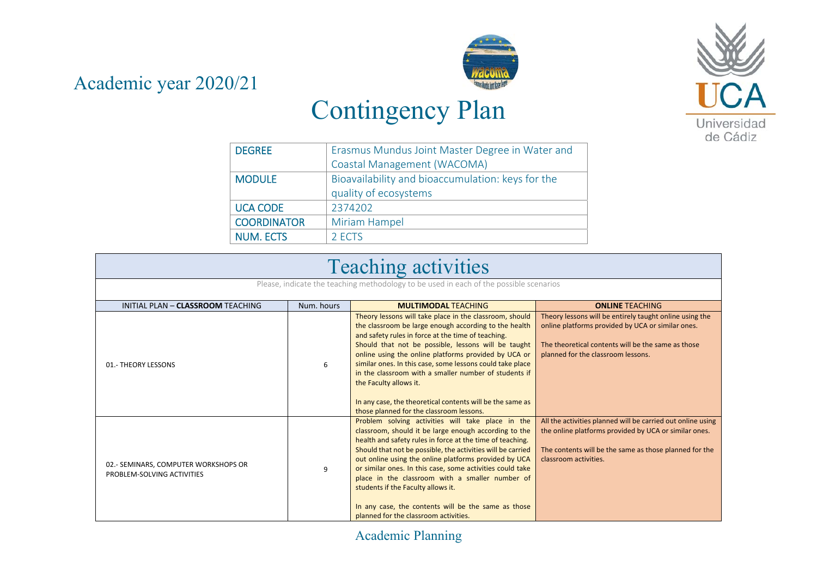Academic year 2020/21



## Contingency Plan

| <b>DEGREE</b>      | Erasmus Mundus Joint Master Degree in Water and   |
|--------------------|---------------------------------------------------|
|                    | Coastal Management (WACOMA)                       |
| <b>MODULE</b>      | Bioavailability and bioaccumulation: keys for the |
|                    | quality of ecosystems                             |
| <b>UCA CODE</b>    | 2374202                                           |
| <b>COORDINATOR</b> | Miriam Hampel                                     |
| <b>NUM. ECTS</b>   | 2 ECTS                                            |

| <b>Teaching activities</b><br>Please, indicate the teaching methodology to be used in each of the possible scenarios |   |                                                                                                                                                                                                                                                                                                                                                                                                                                                                                                                                                       |                                                                                                                                                                                                          |  |  |
|----------------------------------------------------------------------------------------------------------------------|---|-------------------------------------------------------------------------------------------------------------------------------------------------------------------------------------------------------------------------------------------------------------------------------------------------------------------------------------------------------------------------------------------------------------------------------------------------------------------------------------------------------------------------------------------------------|----------------------------------------------------------------------------------------------------------------------------------------------------------------------------------------------------------|--|--|
|                                                                                                                      |   |                                                                                                                                                                                                                                                                                                                                                                                                                                                                                                                                                       |                                                                                                                                                                                                          |  |  |
| 01.- THEORY LESSONS                                                                                                  | 6 | Theory lessons will take place in the classroom, should<br>the classroom be large enough according to the health<br>and safety rules in force at the time of teaching.<br>Should that not be possible, lessons will be taught<br>online using the online platforms provided by UCA or<br>similar ones. In this case, some lessons could take place<br>in the classroom with a smaller number of students if<br>the Faculty allows it.<br>In any case, the theoretical contents will be the same as<br>those planned for the classroom lessons.        | Theory lessons will be entirely taught online using the<br>online platforms provided by UCA or similar ones.<br>The theoretical contents will be the same as those<br>planned for the classroom lessons. |  |  |
| 02.- SEMINARS, COMPUTER WORKSHOPS OR<br>PROBLEM-SOLVING ACTIVITIES                                                   | 9 | Problem solving activities will take place in the<br>classroom, should it be large enough according to the<br>health and safety rules in force at the time of teaching.<br>Should that not be possible, the activities will be carried<br>out online using the online platforms provided by UCA<br>or similar ones. In this case, some activities could take<br>place in the classroom with a smaller number of<br>students if the Faculty allows it.<br>In any case, the contents will be the same as those<br>planned for the classroom activities. | All the activities planned will be carried out online using<br>the online platforms provided by UCA or similar ones.<br>The contents will be the same as those planned for the<br>classroom activities.  |  |  |

Academic Planning

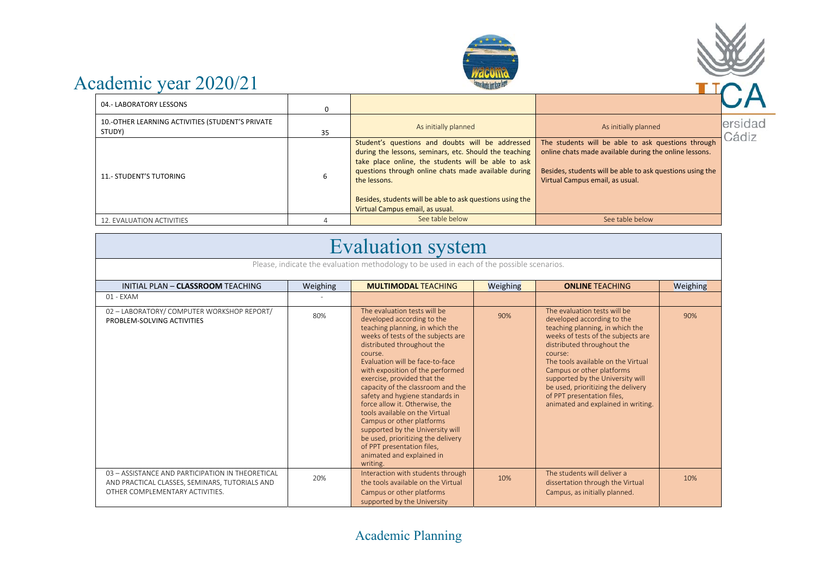



| 04.- LABORATORY LESSONS                                    | 0  |                                                                                                                                                                                                                                                                                                                                           |                                                                                                                                                                                                              |                  |
|------------------------------------------------------------|----|-------------------------------------------------------------------------------------------------------------------------------------------------------------------------------------------------------------------------------------------------------------------------------------------------------------------------------------------|--------------------------------------------------------------------------------------------------------------------------------------------------------------------------------------------------------------|------------------|
| 10.-OTHER LEARNING ACTIVITIES (STUDENT'S PRIVATE<br>STUDY) | 35 | As initially planned                                                                                                                                                                                                                                                                                                                      | As initially planned                                                                                                                                                                                         | ersidad<br>Cádiz |
| <b>11.- STUDENT'S TUTORING</b>                             |    | Student's questions and doubts will be addressed<br>during the lessons, seminars, etc. Should the teaching<br>take place online, the students will be able to ask<br>questions through online chats made available during<br>the lessons.<br>Besides, students will be able to ask questions using the<br>Virtual Campus email, as usual. | The students will be able to ask questions through<br>online chats made available during the online lessons.<br>Besides, students will be able to ask questions using the<br>Virtual Campus email, as usual. |                  |
| 12. EVALUATION ACTIVITIES                                  |    | See table below                                                                                                                                                                                                                                                                                                                           | See table below                                                                                                                                                                                              |                  |

## Evaluation system

| INITIAL PLAN - CLASSROOM TEACHING                                                                                                     | Weighing | <b>MULTIMODAL TEACHING</b>                                                                                                                                                                                                                                                                                                                                                                                                                                                                                                                                                                                   | Weighing | <b>ONLINE TEACHING</b>                                                                                                                                                                                                                                                                                                                                                                        | Weighing |
|---------------------------------------------------------------------------------------------------------------------------------------|----------|--------------------------------------------------------------------------------------------------------------------------------------------------------------------------------------------------------------------------------------------------------------------------------------------------------------------------------------------------------------------------------------------------------------------------------------------------------------------------------------------------------------------------------------------------------------------------------------------------------------|----------|-----------------------------------------------------------------------------------------------------------------------------------------------------------------------------------------------------------------------------------------------------------------------------------------------------------------------------------------------------------------------------------------------|----------|
| 01 - EXAM                                                                                                                             |          |                                                                                                                                                                                                                                                                                                                                                                                                                                                                                                                                                                                                              |          |                                                                                                                                                                                                                                                                                                                                                                                               |          |
| 02 - LABORATORY/ COMPUTER WORKSHOP REPORT/<br>PROBLEM-SOLVING ACTIVITIES                                                              | 80%      | The evaluation tests will be<br>developed according to the<br>teaching planning, in which the<br>weeks of tests of the subjects are<br>distributed throughout the<br>course.<br>Evaluation will be face-to-face<br>with exposition of the performed<br>exercise, provided that the<br>capacity of the classroom and the<br>safety and hygiene standards in<br>force allow it. Otherwise, the<br>tools available on the Virtual<br>Campus or other platforms<br>supported by the University will<br>be used, prioritizing the delivery<br>of PPT presentation files,<br>animated and explained in<br>writing. | 90%      | The evaluation tests will be<br>developed according to the<br>teaching planning, in which the<br>weeks of tests of the subjects are<br>distributed throughout the<br>course:<br>The tools available on the Virtual<br>Campus or other platforms<br>supported by the University will<br>be used, prioritizing the delivery<br>of PPT presentation files,<br>animated and explained in writing. | 90%      |
| 03 - ASSISTANCE AND PARTICIPATION IN THEORETICAL<br>AND PRACTICAL CLASSES, SEMINARS, TUTORIALS AND<br>OTHER COMPLEMENTARY ACTIVITIES. | 20%      | Interaction with students through<br>the tools available on the Virtual<br>Campus or other platforms                                                                                                                                                                                                                                                                                                                                                                                                                                                                                                         | 10%      | The students will deliver a<br>dissertation through the Virtual<br>Campus, as initially planned.                                                                                                                                                                                                                                                                                              | 10%      |

Academic Planning